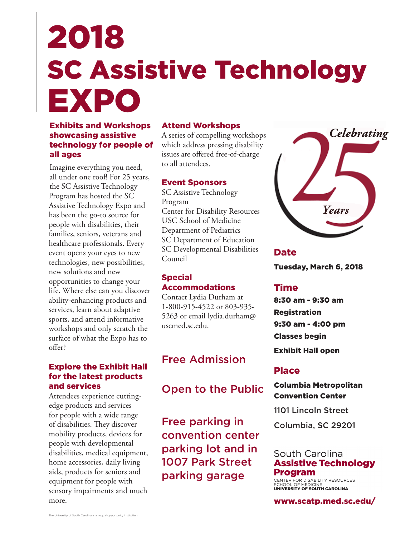# SC Assistive Technology 2018 EXPO

# Exhibits and Workshops showcasing assistive technology for people of all ages

Imagine everything you need, all under one roof! For 25 years, the SC Assistive Technology Program has hosted the SC Assistive Technology Expo and has been the go-to source for people with disabilities, their families, seniors, veterans and healthcare professionals. Every event opens your eyes to new technologies, new possibilities, new solutions and new opportunities to change your life. Where else can you discover ability-enhancing products and services, learn about adaptive sports, and attend informative workshops and only scratch the surface of what the Expo has to offer?

# Explore the Exhibit Hall for the latest products and services

Attendees experience cuttingedge products and services for people with a wide range of disabilities. They discover mobility products, devices for people with developmental disabilities, medical equipment, home accessories, daily living aids, products for seniors and equipment for people with sensory impairments and much more.

## Attend Workshops

A series of compelling workshops which address pressing disability issues are offered free-of-charge to all attendees.

#### Event Sponsors

SC Assistive Technology Program Center for Disability Resources USC School of Medicine Department of Pediatrics SC Department of Education SC Developmental Disabilities Council

### Special Accommodations

Contact Lydia Durham at 1-800-915-4522 or 803-935- 5263 or email lydia.durham@ uscmed.sc.edu.

# Free Admission

Open to the Public

Free parking in convention center parking lot and in 1007 Park Street parking garage



Date Tuesday, March 6, 2018

# Time

8:30 am - 9:30 am Registration 9:30 am - 4:00 pm Classes begin Exhibit Hall open

# Place

Columbia Metropolitan Convention Center

1101 Lincoln Street

Columbia, SC 29201

# South Carolina **Assistive Technology Program**

CENTER FOR DISABILITY RESOURCES<br>SCHOOL OF MEDICINE<br>UNIVERSITY OF SOUTH CAROLINA

www.scatp.med.sc.edu/